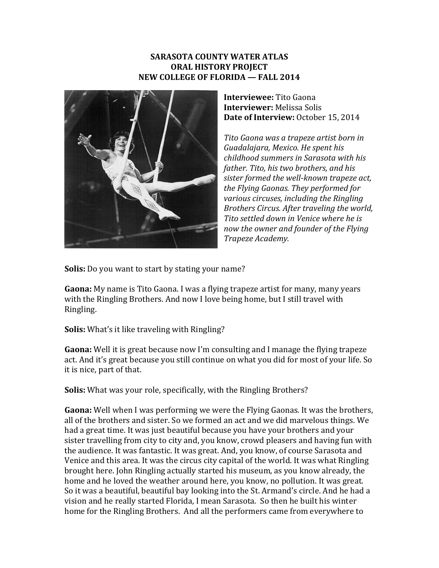## **SARASOTA COUNTY WATER ATLAS ORAL HISTORY PROJECT NEW COLLEGE OF FLORIDA — FALL 2014**



**Interviewee:** Tito Gaona **Interviewer:** Melissa Solis **Date of Interview:** October 15, 2014

*Tito Gaona was a trapeze artist born in Guadalajara, Mexico. He spent his childhood summers in Sarasota with his father. Tito, his two brothers, and his sister formed the well-known trapeze act, the Flying Gaonas. They performed for various circuses, including the Ringling Brothers Circus. After traveling the world, Tito settled down in Venice where he is now the owner and founder of the Flying Trapeze Academy.*

**Solis:** Do you want to start by stating your name?

**Gaona:** My name is Tito Gaona. I was a flying trapeze artist for many, many years with the Ringling Brothers. And now I love being home, but I still travel with Ringling.

**Solis:** What's it like traveling with Ringling?

**Gaona:** Well it is great because now I'm consulting and I manage the flying trapeze act. And it's great because you still continue on what you did for most of your life. So it is nice, part of that.

**Solis:** What was your role, specifically, with the Ringling Brothers?

**Gaona:** Well when I was performing we were the Flying Gaonas. It was the brothers, all of the brothers and sister. So we formed an act and we did marvelous things. We had a great time. It was just beautiful because you have your brothers and your sister travelling from city to city and, you know, crowd pleasers and having fun with the audience. It was fantastic. It was great. And, you know, of course Sarasota and Venice and this area. It was the circus city capital of the world. It was what Ringling brought here. John Ringling actually started his museum, as you know already, the home and he loved the weather around here, you know, no pollution. It was great. So it was a beautiful, beautiful bay looking into the St. Armand's circle. And he had a vision and he really started Florida, I mean Sarasota. So then he built his winter home for the Ringling Brothers. And all the performers came from everywhere to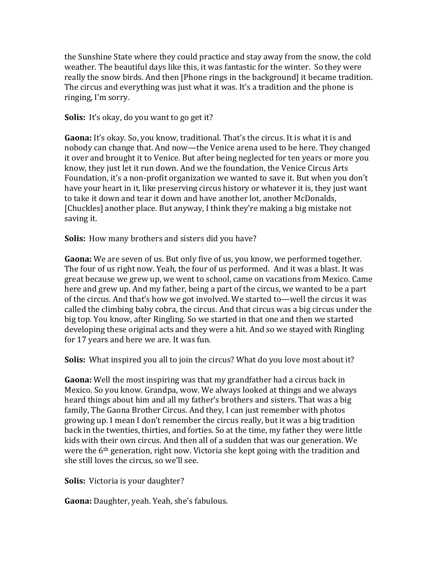the Sunshine State where they could practice and stay away from the snow, the cold weather. The beautiful days like this, it was fantastic for the winter. So they were really the snow birds. And then [Phone rings in the background] it became tradition. The circus and everything was just what it was. It's a tradition and the phone is ringing, I'm sorry.

**Solis:** It's okay, do you want to go get it?

**Gaona:** It's okay. So, you know, traditional. That's the circus. It is what it is and nobody can change that. And now—the Venice arena used to be here. They changed it over and brought it to Venice. But after being neglected for ten years or more you know, they just let it run down. And we the foundation, the Venice Circus Arts Foundation, it's a non-profit organization we wanted to save it. But when you don't have your heart in it, like preserving circus history or whatever it is, they just want to take it down and tear it down and have another lot, another McDonalds, [Chuckles] another place. But anyway, I think they're making a big mistake not saving it.

**Solis:** How many brothers and sisters did you have?

**Gaona:** We are seven of us. But only five of us, you know, we performed together. The four of us right now. Yeah, the four of us performed. And it was a blast. It was great because we grew up, we went to school, came on vacations from Mexico. Came here and grew up. And my father, being a part of the circus, we wanted to be a part of the circus. And that's how we got involved. We started to—well the circus it was called the climbing baby cobra, the circus. And that circus was a big circus under the big top. You know, after Ringling. So we started in that one and then we started developing these original acts and they were a hit. And so we stayed with Ringling for 17 years and here we are. It was fun.

**Solis:** What inspired you all to join the circus? What do you love most about it?

**Gaona:** Well the most inspiring was that my grandfather had a circus back in Mexico. So you know. Grandpa, wow. We always looked at things and we always heard things about him and all my father's brothers and sisters. That was a big family, The Gaona Brother Circus. And they, I can just remember with photos growing up. I mean I don't remember the circus really, but it was a big tradition back in the twenties, thirties, and forties. So at the time, my father they were little kids with their own circus. And then all of a sudden that was our generation. We were the 6th generation, right now. Victoria she kept going with the tradition and she still loves the circus, so we'll see.

**Solis:** Victoria is your daughter?

**Gaona:** Daughter, yeah. Yeah, she's fabulous.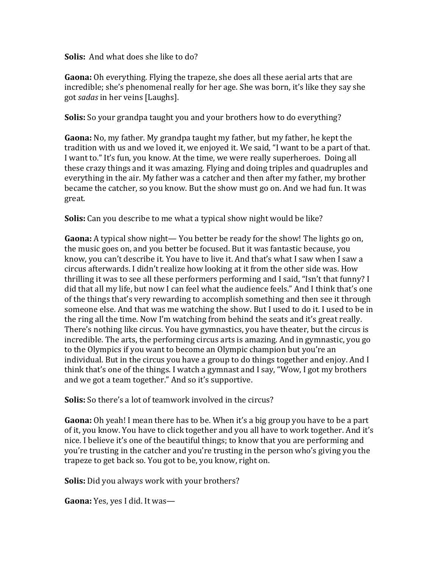**Solis:** And what does she like to do?

**Gaona:** Oh everything. Flying the trapeze, she does all these aerial arts that are incredible; she's phenomenal really for her age. She was born, it's like they say she got *sadas* in her veins [Laughs].

**Solis:** So your grandpa taught you and your brothers how to do everything?

**Gaona:** No, my father. My grandpa taught my father, but my father, he kept the tradition with us and we loved it, we enjoyed it. We said, "I want to be a part of that. I want to." It's fun, you know. At the time, we were really superheroes. Doing all these crazy things and it was amazing. Flying and doing triples and quadruples and everything in the air. My father was a catcher and then after my father, my brother became the catcher, so you know. But the show must go on. And we had fun. It was great.

**Solis:** Can you describe to me what a typical show night would be like?

**Gaona:** A typical show night— You better be ready for the show! The lights go on, the music goes on, and you better be focused. But it was fantastic because, you know, you can't describe it. You have to live it. And that's what I saw when I saw a circus afterwards. I didn't realize how looking at it from the other side was. How thrilling it was to see all these performers performing and I said, "Isn't that funny? I did that all my life, but now I can feel what the audience feels." And I think that's one of the things that's very rewarding to accomplish something and then see it through someone else. And that was me watching the show. But I used to do it. I used to be in the ring all the time. Now I'm watching from behind the seats and it's great really. There's nothing like circus. You have gymnastics, you have theater, but the circus is incredible. The arts, the performing circus arts is amazing. And in gymnastic, you go to the Olympics if you want to become an Olympic champion but you're an individual. But in the circus you have a group to do things together and enjoy. And I think that's one of the things. I watch a gymnast and I say, "Wow, I got my brothers and we got a team together." And so it's supportive.

**Solis:** So there's a lot of teamwork involved in the circus?

**Gaona:** Oh yeah! I mean there has to be. When it's a big group you have to be a part of it, you know. You have to click together and you all have to work together. And it's nice. I believe it's one of the beautiful things; to know that you are performing and you're trusting in the catcher and you're trusting in the person who's giving you the trapeze to get back so. You got to be, you know, right on.

**Solis:** Did you always work with your brothers?

**Gaona:** Yes, yes I did. It was—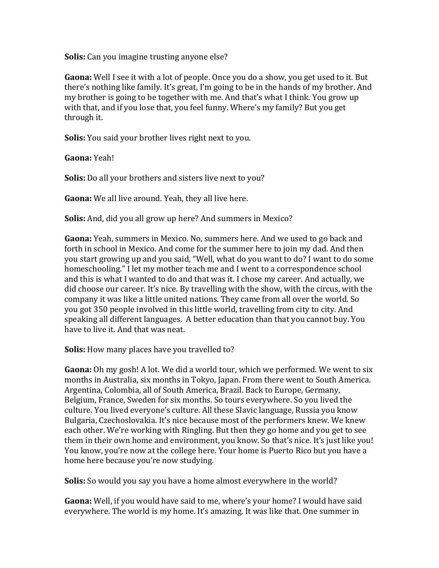**Solis:** Can you imagine trusting anyone else?

**Gaona:** Well I see it with a lot of people. Once you do a show, you get used to it. But there's nothing like family. It's great, I'm going to be in the hands of my brother. And my brother is going to be together with me. And that's what I think. You grow up with that, and if you lose that, you feel funny. Where's my family? But you get through it.

**Solis:** You said your brother lives right next to you.

**Gaona:** Yeah!

**Solis:** Do all your brothers and sisters live next to you?

**Gaona:** We all live around. Yeah, they all live here.

**Solis:** And, did you all grow up here? And summers in Mexico?

**Gaona:** Yeah, summers in Mexico. No, summers here. And we used to go back and forth in school in Mexico. And come for the summer here to join my dad. And then you start growing up and you said, "Well, what do you want to do? I want to do some homeschooling." I let my mother teach me and I went to a correspondence school and this is what I wanted to do and that was it. I chose my career. And actually, we did choose our career. It's nice. By travelling with the show, with the circus, with the company it was like a little united nations. They came from all over the world. So you got 350 people involved in this little world, travelling from city to city. And speaking all different languages. A better education than that you cannot buy. You have to live it. And that was neat.

**Solis:** How many places have you travelled to?

**Gaona:** Oh my gosh! A lot. We did a world tour, which we performed. We went to six months in Australia, six months in Tokyo, Japan. From there went to South America. Argentina, Colombia, all of South America, Brazil. Back to Europe, Germany, Belgium, France, Sweden for six months. So tours everywhere. So you lived the culture. You lived everyone's culture. All these Slavic language, Russia you know Bulgaria, Czechoslovakia. It's nice because most of the performers knew. We knew each other. We're working with Ringling. But then they go home and you get to see them in their own home and environment, you know. So that's nice. It's just like you! You know, you're now at the college here. Your home is Puerto Rico but you have a home here because you're now studying.

**Solis:** So would you say you have a home almost everywhere in the world?

**Gaona:** Well, if you would have said to me, where's your home? I would have said everywhere. The world is my home. It's amazing. It was like that. One summer in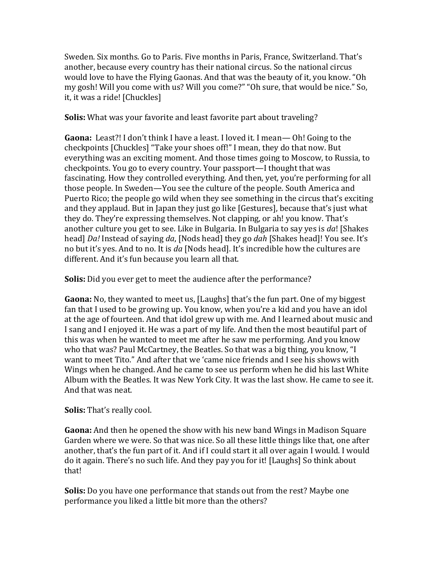Sweden. Six months. Go to Paris. Five months in Paris, France, Switzerland. That's another, because every country has their national circus. So the national circus would love to have the Flying Gaonas. And that was the beauty of it, you know. "Oh my gosh! Will you come with us? Will you come?" "Oh sure, that would be nice." So, it, it was a ride! [Chuckles]

**Solis:** What was your favorite and least favorite part about traveling?

**Gaona:** Least?! I don't think I have a least. I loved it. I mean— Oh! Going to the checkpoints [Chuckles] "Take your shoes off!" I mean, they do that now. But everything was an exciting moment. And those times going to Moscow, to Russia, to checkpoints. You go to every country. Your passport—I thought that was fascinating. How they controlled everything. And then, yet, you're performing for all those people. In Sweden—You see the culture of the people. South America and Puerto Rico; the people go wild when they see something in the circus that's exciting and they applaud. But in Japan they just go like [Gestures], because that's just what they do. They're expressing themselves. Not clapping, or ah! you know. That's another culture you get to see. Like in Bulgaria. In Bulgaria to say yes is *da*! [Shakes head] *Da!* Instead of saying *da*, [Nods head] they go *dah* [Shakes head]! You see. It's no but it's yes. And to no. It is *da* [Nods head]. It's incredible how the cultures are different. And it's fun because you learn all that.

**Solis:** Did you ever get to meet the audience after the performance?

**Gaona:** No, they wanted to meet us, [Laughs] that's the fun part. One of my biggest fan that I used to be growing up. You know, when you're a kid and you have an idol at the age of fourteen. And that idol grew up with me. And I learned about music and I sang and I enjoyed it. He was a part of my life. And then the most beautiful part of this was when he wanted to meet me after he saw me performing. And you know who that was? Paul McCartney, the Beatles. So that was a big thing, you know, "I want to meet Tito." And after that we 'came nice friends and I see his shows with Wings when he changed. And he came to see us perform when he did his last White Album with the Beatles. It was New York City. It was the last show. He came to see it. And that was neat.

**Solis:** That's really cool.

**Gaona:** And then he opened the show with his new band Wings in Madison Square Garden where we were. So that was nice. So all these little things like that, one after another, that's the fun part of it. And if I could start it all over again I would. I would do it again. There's no such life. And they pay you for it! [Laughs] So think about that!

**Solis:** Do you have one performance that stands out from the rest? Maybe one performance you liked a little bit more than the others?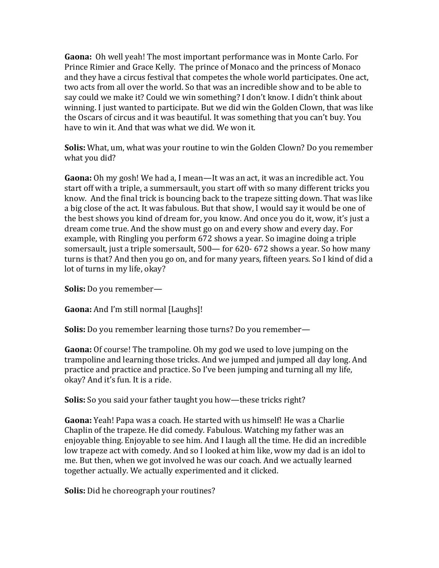**Gaona:** Oh well yeah! The most important performance was in Monte Carlo. For Prince Rimier and Grace Kelly. The prince of Monaco and the princess of Monaco and they have a circus festival that competes the whole world participates. One act, two acts from all over the world. So that was an incredible show and to be able to say could we make it? Could we win something? I don't know. I didn't think about winning. I just wanted to participate. But we did win the Golden Clown, that was like the Oscars of circus and it was beautiful. It was something that you can't buy. You have to win it. And that was what we did. We won it.

**Solis:** What, um, what was your routine to win the Golden Clown? Do you remember what you did?

**Gaona:** Oh my gosh! We had a, I mean—It was an act, it was an incredible act. You start off with a triple, a summersault, you start off with so many different tricks you know. And the final trick is bouncing back to the trapeze sitting down. That was like a big close of the act. It was fabulous. But that show, I would say it would be one of the best shows you kind of dream for, you know. And once you do it, wow, it's just a dream come true. And the show must go on and every show and every day. For example, with Ringling you perform 672 shows a year. So imagine doing a triple somersault, just a triple somersault, 500— for 620- 672 shows a year. So how many turns is that? And then you go on, and for many years, fifteen years. So I kind of did a lot of turns in my life, okay?

**Solis:** Do you remember—

**Gaona:** And I'm still normal [Laughs]!

**Solis:** Do you remember learning those turns? Do you remember—

**Gaona:** Of course! The trampoline. Oh my god we used to love jumping on the trampoline and learning those tricks. And we jumped and jumped all day long. And practice and practice and practice. So I've been jumping and turning all my life, okay? And it's fun. It is a ride.

**Solis:** So you said your father taught you how—these tricks right?

**Gaona:** Yeah! Papa was a coach. He started with us himself! He was a Charlie Chaplin of the trapeze. He did comedy. Fabulous. Watching my father was an enjoyable thing. Enjoyable to see him. And I laugh all the time. He did an incredible low trapeze act with comedy. And so I looked at him like, wow my dad is an idol to me. But then, when we got involved he was our coach. And we actually learned together actually. We actually experimented and it clicked.

**Solis:** Did he choreograph your routines?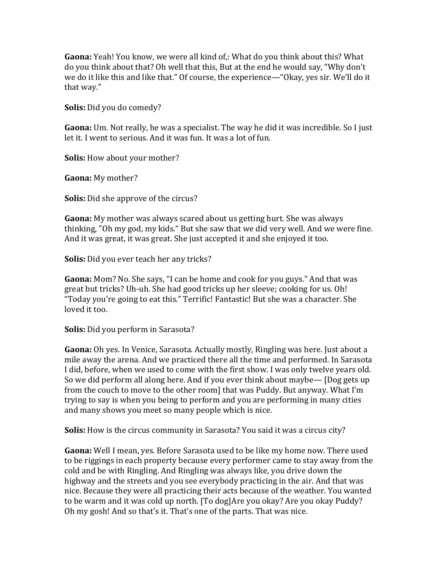**Gaona:** Yeah! You know, we were all kind of,: What do you think about this? What do you think about that? Oh well that this, But at the end he would say, "Why don't we do it like this and like that." Of course, the experience—"Okay, yes sir. We'll do it that way."

**Solis:** Did you do comedy?

**Gaona:** Um. Not really, he was a specialist. The way he did it was incredible. So I just let it. I went to serious. And it was fun. It was a lot of fun.

**Solis:** How about your mother?

**Gaona:** My mother?

**Solis:** Did she approve of the circus?

**Gaona:** My mother was always scared about us getting hurt. She was always thinking, "Oh my god, my kids." But she saw that we did very well. And we were fine. And it was great, it was great. She just accepted it and she enjoyed it too.

**Solis:** Did you ever teach her any tricks?

**Gaona:** Mom? No. She says, "I can be home and cook for you guys." And that was great but tricks? Uh-uh. She had good tricks up her sleeve; cooking for us. Oh! "Today you're going to eat this." Terrific! Fantastic! But she was a character. She loved it too.

**Solis:** Did you perform in Sarasota?

**Gaona:** Oh yes. In Venice, Sarasota. Actually mostly, Ringling was here. Just about a mile away the arena. And we practiced there all the time and performed. In Sarasota I did, before, when we used to come with the first show. I was only twelve years old. So we did perform all along here. And if you ever think about maybe— [Dog gets up from the couch to move to the other room] that was Puddy. But anyway. What I'm trying to say is when you being to perform and you are performing in many cities and many shows you meet so many people which is nice.

**Solis:** How is the circus community in Sarasota? You said it was a circus city?

**Gaona:** Well I mean, yes. Before Sarasota used to be like my home now. There used to be riggings in each property because every performer came to stay away from the cold and be with Ringling. And Ringling was always like, you drive down the highway and the streets and you see everybody practicing in the air. And that was nice. Because they were all practicing their acts because of the weather. You wanted to be warm and it was cold up north. [To dog]Are you okay? Are you okay Puddy? Oh my gosh! And so that's it. That's one of the parts. That was nice.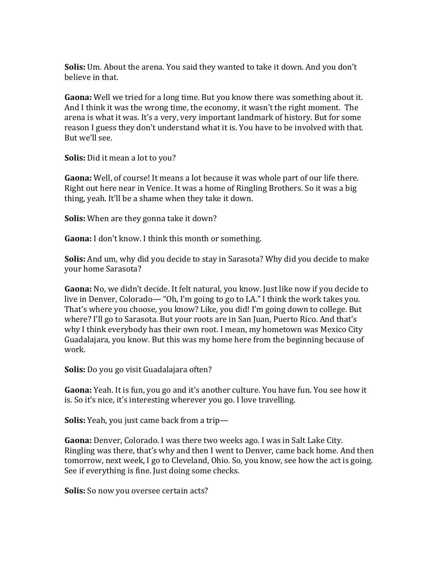**Solis:** Um. About the arena. You said they wanted to take it down. And you don't believe in that.

**Gaona:** Well we tried for a long time. But you know there was something about it. And I think it was the wrong time, the economy, it wasn't the right moment. The arena is what it was. It's a very, very important landmark of history. But for some reason I guess they don't understand what it is. You have to be involved with that. But we'll see.

**Solis:** Did it mean a lot to you?

**Gaona:** Well, of course! It means a lot because it was whole part of our life there. Right out here near in Venice. It was a home of Ringling Brothers. So it was a big thing, yeah. It'll be a shame when they take it down.

**Solis:** When are they gonna take it down?

**Gaona:** I don't know. I think this month or something.

**Solis:** And um, why did you decide to stay in Sarasota? Why did you decide to make your home Sarasota?

**Gaona:** No, we didn't decide. It felt natural, you know. Just like now if you decide to live in Denver, Colorado— "Oh, I'm going to go to LA." I think the work takes you. That's where you choose, you know? Like, you did! I'm going down to college. But where? I'll go to Sarasota. But your roots are in San Juan, Puerto Rico. And that's why I think everybody has their own root. I mean, my hometown was Mexico City Guadalajara, you know. But this was my home here from the beginning because of work.

**Solis:** Do you go visit Guadalajara often?

**Gaona:** Yeah. It is fun, you go and it's another culture. You have fun. You see how it is. So it's nice, it's interesting wherever you go. I love travelling.

**Solis:** Yeah, you just came back from a trip—

**Gaona:** Denver, Colorado. I was there two weeks ago. I was in Salt Lake City. Ringling was there, that's why and then I went to Denver, came back home. And then tomorrow, next week, I go to Cleveland, Ohio. So, you know, see how the act is going. See if everything is fine. Just doing some checks.

**Solis:** So now you oversee certain acts?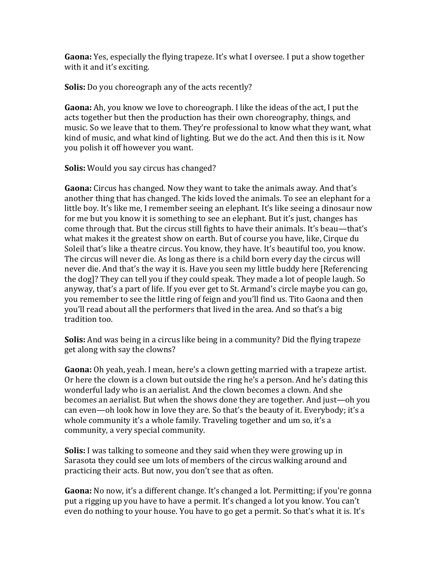**Gaona:** Yes, especially the flying trapeze. It's what I oversee. I put a show together with it and it's exciting.

**Solis:** Do you choreograph any of the acts recently?

**Gaona:** Ah, you know we love to choreograph. I like the ideas of the act, I put the acts together but then the production has their own choreography, things, and music. So we leave that to them. They're professional to know what they want, what kind of music, and what kind of lighting. But we do the act. And then this is it. Now you polish it off however you want.

**Solis:** Would you say circus has changed?

**Gaona:** Circus has changed. Now they want to take the animals away. And that's another thing that has changed. The kids loved the animals. To see an elephant for a little boy. It's like me, I remember seeing an elephant. It's like seeing a dinosaur now for me but you know it is something to see an elephant. But it's just, changes has come through that. But the circus still fights to have their animals. It's beau—that's what makes it the greatest show on earth. But of course you have, like, Cirque du Soleil that's like a theatre circus. You know, they have. It's beautiful too, you know. The circus will never die. As long as there is a child born every day the circus will never die. And that's the way it is. Have you seen my little buddy here [Referencing the dog]? They can tell you if they could speak. They made a lot of people laugh. So anyway, that's a part of life. If you ever get to St. Armand's circle maybe you can go, you remember to see the little ring of feign and you'll find us. Tito Gaona and then you'll read about all the performers that lived in the area. And so that's a big tradition too.

**Solis:** And was being in a circus like being in a community? Did the flying trapeze get along with say the clowns?

**Gaona:** Oh yeah, yeah. I mean, here's a clown getting married with a trapeze artist. Or here the clown is a clown but outside the ring he's a person. And he's dating this wonderful lady who is an aerialist. And the clown becomes a clown. And she becomes an aerialist. But when the shows done they are together. And just—oh you can even—oh look how in love they are. So that's the beauty of it. Everybody; it's a whole community it's a whole family. Traveling together and um so, it's a community, a very special community.

**Solis:** I was talking to someone and they said when they were growing up in Sarasota they could see um lots of members of the circus walking around and practicing their acts. But now, you don't see that as often.

**Gaona:** No now, it's a different change. It's changed a lot. Permitting; if you're gonna put a rigging up you have to have a permit. It's changed a lot you know. You can't even do nothing to your house. You have to go get a permit. So that's what it is. It's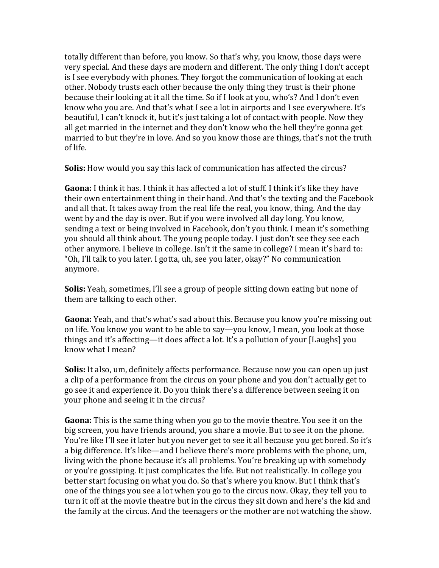totally different than before, you know. So that's why, you know, those days were very special. And these days are modern and different. The only thing I don't accept is I see everybody with phones. They forgot the communication of looking at each other. Nobody trusts each other because the only thing they trust is their phone because their looking at it all the time. So if I look at you, who's? And I don't even know who you are. And that's what I see a lot in airports and I see everywhere. It's beautiful, I can't knock it, but it's just taking a lot of contact with people. Now they all get married in the internet and they don't know who the hell they're gonna get married to but they're in love. And so you know those are things, that's not the truth of life.

**Solis:** How would you say this lack of communication has affected the circus?

**Gaona:** I think it has. I think it has affected a lot of stuff. I think it's like they have their own entertainment thing in their hand. And that's the texting and the Facebook and all that. It takes away from the real life the real, you know, thing. And the day went by and the day is over. But if you were involved all day long. You know, sending a text or being involved in Facebook, don't you think. I mean it's something you should all think about. The young people today. I just don't see they see each other anymore. I believe in college. Isn't it the same in college? I mean it's hard to: "Oh, I'll talk to you later. I gotta, uh, see you later, okay?" No communication anymore.

**Solis:** Yeah, sometimes, I'll see a group of people sitting down eating but none of them are talking to each other.

**Gaona:** Yeah, and that's what's sad about this. Because you know you're missing out on life. You know you want to be able to say—you know, I mean, you look at those things and it's affecting—it does affect a lot. It's a pollution of your [Laughs] you know what I mean?

**Solis:** It also, um, definitely affects performance. Because now you can open up just a clip of a performance from the circus on your phone and you don't actually get to go see it and experience it. Do you think there's a difference between seeing it on your phone and seeing it in the circus?

**Gaona:** This is the same thing when you go to the movie theatre. You see it on the big screen, you have friends around, you share a movie. But to see it on the phone. You're like I'll see it later but you never get to see it all because you get bored. So it's a big difference. It's like—and I believe there's more problems with the phone, um, living with the phone because it's all problems. You're breaking up with somebody or you're gossiping. It just complicates the life. But not realistically. In college you better start focusing on what you do. So that's where you know. But I think that's one of the things you see a lot when you go to the circus now. Okay, they tell you to turn it off at the movie theatre but in the circus they sit down and here's the kid and the family at the circus. And the teenagers or the mother are not watching the show.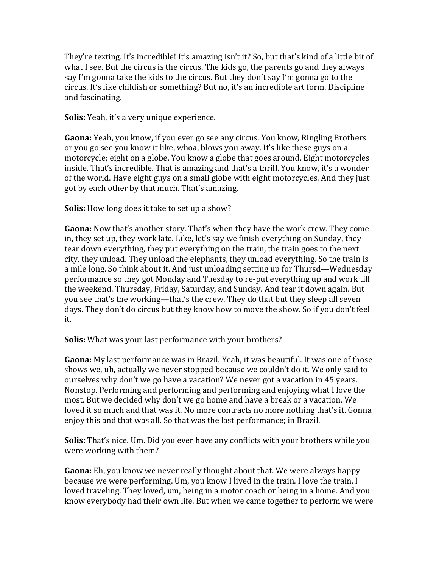They're texting. It's incredible! It's amazing isn't it? So, but that's kind of a little bit of what I see. But the circus is the circus. The kids go, the parents go and they always say I'm gonna take the kids to the circus. But they don't say I'm gonna go to the circus. It's like childish or something? But no, it's an incredible art form. Discipline and fascinating.

**Solis:** Yeah, it's a very unique experience.

**Gaona:** Yeah, you know, if you ever go see any circus. You know, Ringling Brothers or you go see you know it like, whoa, blows you away. It's like these guys on a motorcycle; eight on a globe. You know a globe that goes around. Eight motorcycles inside. That's incredible. That is amazing and that's a thrill. You know, it's a wonder of the world. Have eight guys on a small globe with eight motorcycles. And they just got by each other by that much. That's amazing.

**Solis:** How long does it take to set up a show?

**Gaona:** Now that's another story. That's when they have the work crew. They come in, they set up, they work late. Like, let's say we finish everything on Sunday, they tear down everything, they put everything on the train, the train goes to the next city, they unload. They unload the elephants, they unload everything. So the train is a mile long. So think about it. And just unloading setting up for Thursd—Wednesday performance so they got Monday and Tuesday to re-put everything up and work till the weekend. Thursday, Friday, Saturday, and Sunday. And tear it down again. But you see that's the working—that's the crew. They do that but they sleep all seven days. They don't do circus but they know how to move the show. So if you don't feel it.

**Solis:** What was your last performance with your brothers?

**Gaona:** My last performance was in Brazil. Yeah, it was beautiful. It was one of those shows we, uh, actually we never stopped because we couldn't do it. We only said to ourselves why don't we go have a vacation? We never got a vacation in 45 years. Nonstop. Performing and performing and performing and enjoying what I love the most. But we decided why don't we go home and have a break or a vacation. We loved it so much and that was it. No more contracts no more nothing that's it. Gonna enjoy this and that was all. So that was the last performance; in Brazil.

**Solis:** That's nice. Um. Did you ever have any conflicts with your brothers while you were working with them?

**Gaona:** Eh, you know we never really thought about that. We were always happy because we were performing. Um, you know I lived in the train. I love the train, I loved traveling. They loved, um, being in a motor coach or being in a home. And you know everybody had their own life. But when we came together to perform we were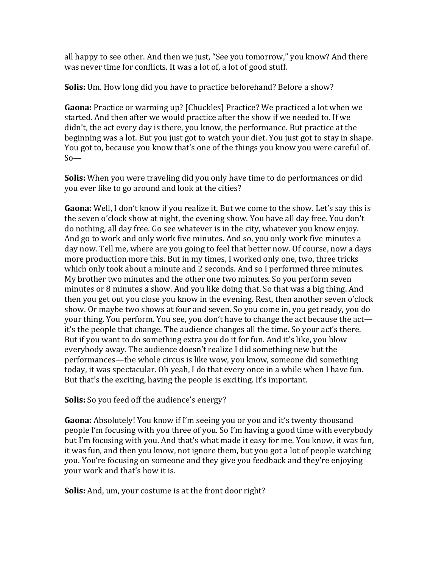all happy to see other. And then we just, "See you tomorrow," you know? And there was never time for conflicts. It was a lot of, a lot of good stuff.

**Solis:** Um. How long did you have to practice beforehand? Before a show?

**Gaona:** Practice or warming up? [Chuckles] Practice? We practiced a lot when we started. And then after we would practice after the show if we needed to. If we didn't, the act every day is there, you know, the performance. But practice at the beginning was a lot. But you just got to watch your diet. You just got to stay in shape. You got to, because you know that's one of the things you know you were careful of. So—

**Solis:** When you were traveling did you only have time to do performances or did you ever like to go around and look at the cities?

**Gaona:** Well, I don't know if you realize it. But we come to the show. Let's say this is the seven o'clock show at night, the evening show. You have all day free. You don't do nothing, all day free. Go see whatever is in the city, whatever you know enjoy. And go to work and only work five minutes. And so, you only work five minutes a day now. Tell me, where are you going to feel that better now. Of course, now a days more production more this. But in my times, I worked only one, two, three tricks which only took about a minute and 2 seconds. And so I performed three minutes. My brother two minutes and the other one two minutes. So you perform seven minutes or 8 minutes a show. And you like doing that. So that was a big thing. And then you get out you close you know in the evening. Rest, then another seven o'clock show. Or maybe two shows at four and seven. So you come in, you get ready, you do your thing. You perform. You see, you don't have to change the act because the act it's the people that change. The audience changes all the time. So your act's there. But if you want to do something extra you do it for fun. And it's like, you blow everybody away. The audience doesn't realize I did something new but the performances—the whole circus is like wow, you know, someone did something today, it was spectacular. Oh yeah, I do that every once in a while when I have fun. But that's the exciting, having the people is exciting. It's important.

**Solis:** So you feed off the audience's energy?

**Gaona:** Absolutely! You know if I'm seeing you or you and it's twenty thousand people I'm focusing with you three of you. So I'm having a good time with everybody but I'm focusing with you. And that's what made it easy for me. You know, it was fun, it was fun, and then you know, not ignore them, but you got a lot of people watching you. You're focusing on someone and they give you feedback and they're enjoying your work and that's how it is.

**Solis:** And, um, your costume is at the front door right?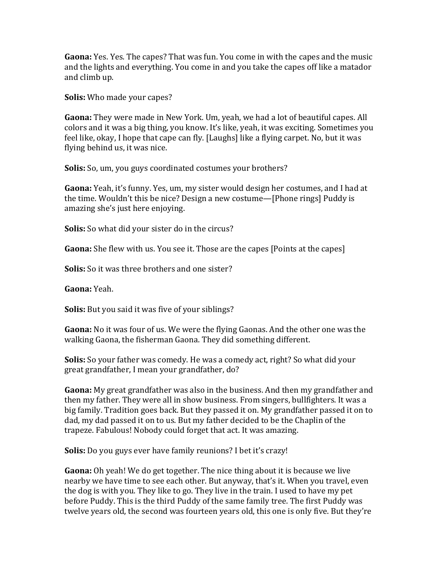**Gaona:** Yes. Yes. The capes? That was fun. You come in with the capes and the music and the lights and everything. You come in and you take the capes off like a matador and climb up.

**Solis:** Who made your capes?

**Gaona:** They were made in New York. Um, yeah, we had a lot of beautiful capes. All colors and it was a big thing, you know. It's like, yeah, it was exciting. Sometimes you feel like, okay, I hope that cape can fly. [Laughs] like a flying carpet. No, but it was flying behind us, it was nice.

**Solis:** So, um, you guys coordinated costumes your brothers?

**Gaona:** Yeah, it's funny. Yes, um, my sister would design her costumes, and I had at the time. Wouldn't this be nice? Design a new costume—[Phone rings] Puddy is amazing she's just here enjoying.

**Solis:** So what did your sister do in the circus?

**Gaona:** She flew with us. You see it. Those are the capes [Points at the capes]

**Solis:** So it was three brothers and one sister?

**Gaona:** Yeah.

**Solis:** But you said it was five of your siblings?

**Gaona:** No it was four of us. We were the flying Gaonas. And the other one was the walking Gaona, the fisherman Gaona. They did something different.

**Solis:** So your father was comedy. He was a comedy act, right? So what did your great grandfather, I mean your grandfather, do?

**Gaona:** My great grandfather was also in the business. And then my grandfather and then my father. They were all in show business. From singers, bullfighters. It was a big family. Tradition goes back. But they passed it on. My grandfather passed it on to dad, my dad passed it on to us. But my father decided to be the Chaplin of the trapeze. Fabulous! Nobody could forget that act. It was amazing.

**Solis:** Do you guys ever have family reunions? I bet it's crazy!

**Gaona:** Oh yeah! We do get together. The nice thing about it is because we live nearby we have time to see each other. But anyway, that's it. When you travel, even the dog is with you. They like to go. They live in the train. I used to have my pet before Puddy. This is the third Puddy of the same family tree. The first Puddy was twelve years old, the second was fourteen years old, this one is only five. But they're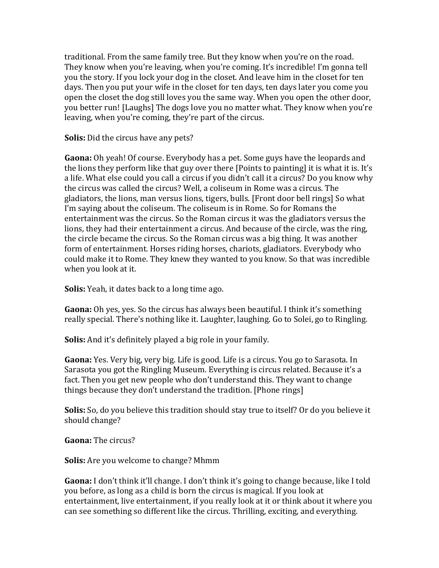traditional. From the same family tree. But they know when you're on the road. They know when you're leaving, when you're coming. It's incredible! I'm gonna tell you the story. If you lock your dog in the closet. And leave him in the closet for ten days. Then you put your wife in the closet for ten days, ten days later you come you open the closet the dog still loves you the same way. When you open the other door, you better run! [Laughs] The dogs love you no matter what. They know when you're leaving, when you're coming, they're part of the circus.

**Solis:** Did the circus have any pets?

**Gaona:** Oh yeah! Of course. Everybody has a pet. Some guys have the leopards and the lions they perform like that guy over there [Points to painting] it is what it is. It's a life. What else could you call a circus if you didn't call it a circus? Do you know why the circus was called the circus? Well, a coliseum in Rome was a circus. The gladiators, the lions, man versus lions, tigers, bulls. [Front door bell rings] So what I'm saying about the coliseum. The coliseum is in Rome. So for Romans the entertainment was the circus. So the Roman circus it was the gladiators versus the lions, they had their entertainment a circus. And because of the circle, was the ring, the circle became the circus. So the Roman circus was a big thing. It was another form of entertainment. Horses riding horses, chariots, gladiators. Everybody who could make it to Rome. They knew they wanted to you know. So that was incredible when you look at it.

**Solis:** Yeah, it dates back to a long time ago.

**Gaona:** Oh yes, yes. So the circus has always been beautiful. I think it's something really special. There's nothing like it. Laughter, laughing. Go to Solei, go to Ringling.

**Solis:** And it's definitely played a big role in your family.

**Gaona:** Yes. Very big, very big. Life is good. Life is a circus. You go to Sarasota. In Sarasota you got the Ringling Museum. Everything is circus related. Because it's a fact. Then you get new people who don't understand this. They want to change things because they don't understand the tradition. [Phone rings]

**Solis:** So, do you believe this tradition should stay true to itself? Or do you believe it should change?

**Gaona:** The circus?

**Solis:** Are you welcome to change? Mhmm

**Gaona:** I don't think it'll change. I don't think it's going to change because, like I told you before, as long as a child is born the circus is magical. If you look at entertainment, live entertainment, if you really look at it or think about it where you can see something so different like the circus. Thrilling, exciting, and everything.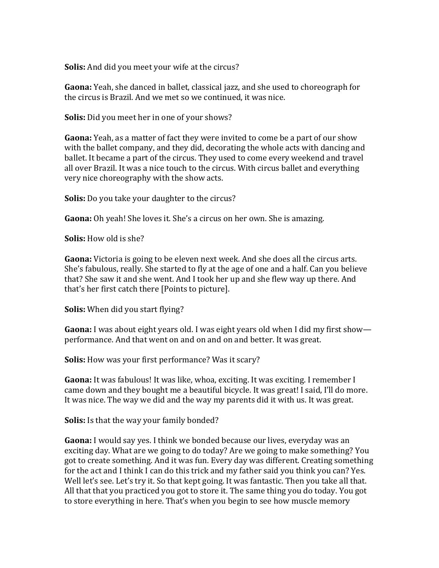**Solis:** And did you meet your wife at the circus?

**Gaona:** Yeah, she danced in ballet, classical jazz, and she used to choreograph for the circus is Brazil. And we met so we continued, it was nice.

**Solis:** Did you meet her in one of your shows?

**Gaona:** Yeah, as a matter of fact they were invited to come be a part of our show with the ballet company, and they did, decorating the whole acts with dancing and ballet. It became a part of the circus. They used to come every weekend and travel all over Brazil. It was a nice touch to the circus. With circus ballet and everything very nice choreography with the show acts.

**Solis:** Do you take your daughter to the circus?

**Gaona:** Oh yeah! She loves it. She's a circus on her own. She is amazing.

**Solis:** How old is she?

**Gaona:** Victoria is going to be eleven next week. And she does all the circus arts. She's fabulous, really. She started to fly at the age of one and a half. Can you believe that? She saw it and she went. And I took her up and she flew way up there. And that's her first catch there [Points to picture].

**Solis:** When did you start flying?

**Gaona:** I was about eight years old. I was eight years old when I did my first show performance. And that went on and on and on and better. It was great.

**Solis:** How was your first performance? Was it scary?

**Gaona:** It was fabulous! It was like, whoa, exciting. It was exciting. I remember I came down and they bought me a beautiful bicycle. It was great! I said, I'll do more. It was nice. The way we did and the way my parents did it with us. It was great.

**Solis:** Is that the way your family bonded?

**Gaona:** I would say yes. I think we bonded because our lives, everyday was an exciting day. What are we going to do today? Are we going to make something? You got to create something. And it was fun. Every day was different. Creating something for the act and I think I can do this trick and my father said you think you can? Yes. Well let's see. Let's try it. So that kept going. It was fantastic. Then you take all that. All that that you practiced you got to store it. The same thing you do today. You got to store everything in here. That's when you begin to see how muscle memory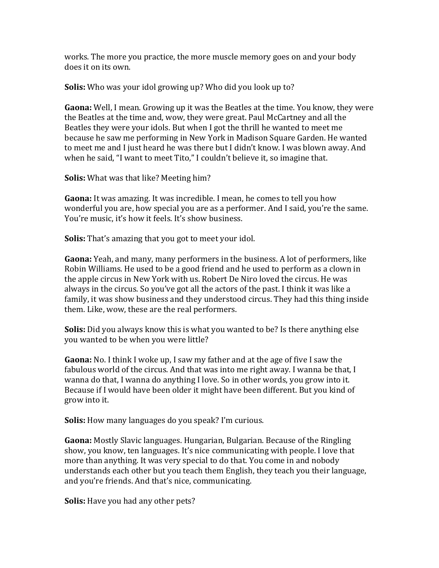works. The more you practice, the more muscle memory goes on and your body does it on its own.

**Solis:** Who was your idol growing up? Who did you look up to?

**Gaona:** Well, I mean. Growing up it was the Beatles at the time. You know, they were the Beatles at the time and, wow, they were great. Paul McCartney and all the Beatles they were your idols. But when I got the thrill he wanted to meet me because he saw me performing in New York in Madison Square Garden. He wanted to meet me and I just heard he was there but I didn't know. I was blown away. And when he said, "I want to meet Tito," I couldn't believe it, so imagine that.

**Solis:** What was that like? Meeting him?

**Gaona:** It was amazing. It was incredible. I mean, he comes to tell you how wonderful you are, how special you are as a performer. And I said, you're the same. You're music, it's how it feels. It's show business.

**Solis:** That's amazing that you got to meet your idol.

**Gaona:** Yeah, and many, many performers in the business. A lot of performers, like Robin Williams. He used to be a good friend and he used to perform as a clown in the apple circus in New York with us. Robert De Niro loved the circus. He was always in the circus. So you've got all the actors of the past. I think it was like a family, it was show business and they understood circus. They had this thing inside them. Like, wow, these are the real performers.

**Solis:** Did you always know this is what you wanted to be? Is there anything else you wanted to be when you were little?

**Gaona:** No. I think I woke up, I saw my father and at the age of five I saw the fabulous world of the circus. And that was into me right away. I wanna be that, I wanna do that, I wanna do anything I love. So in other words, you grow into it. Because if I would have been older it might have been different. But you kind of grow into it.

**Solis:** How many languages do you speak? I'm curious.

**Gaona:** Mostly Slavic languages. Hungarian, Bulgarian. Because of the Ringling show, you know, ten languages. It's nice communicating with people. I love that more than anything. It was very special to do that. You come in and nobody understands each other but you teach them English, they teach you their language, and you're friends. And that's nice, communicating.

**Solis:** Have you had any other pets?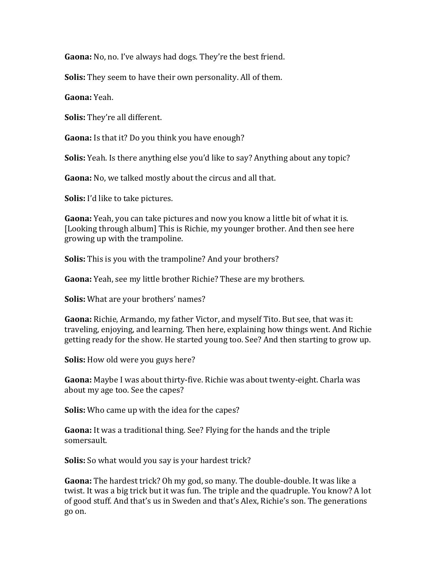**Gaona:** No, no. I've always had dogs. They're the best friend.

**Solis:** They seem to have their own personality. All of them.

**Gaona:** Yeah.

**Solis:** They're all different.

**Gaona:** Is that it? Do you think you have enough?

**Solis:** Yeah. Is there anything else you'd like to say? Anything about any topic?

**Gaona:** No, we talked mostly about the circus and all that.

**Solis:** I'd like to take pictures.

**Gaona:** Yeah, you can take pictures and now you know a little bit of what it is. [Looking through album] This is Richie, my younger brother. And then see here growing up with the trampoline.

**Solis:** This is you with the trampoline? And your brothers?

**Gaona:** Yeah, see my little brother Richie? These are my brothers.

**Solis:** What are your brothers' names?

**Gaona:** Richie, Armando, my father Victor, and myself Tito. But see, that was it: traveling, enjoying, and learning. Then here, explaining how things went. And Richie getting ready for the show. He started young too. See? And then starting to grow up.

**Solis:** How old were you guys here?

**Gaona:** Maybe I was about thirty-five. Richie was about twenty-eight. Charla was about my age too. See the capes?

**Solis:** Who came up with the idea for the capes?

**Gaona:** It was a traditional thing. See? Flying for the hands and the triple somersault.

**Solis:** So what would you say is your hardest trick?

**Gaona:** The hardest trick? Oh my god, so many. The double-double. It was like a twist. It was a big trick but it was fun. The triple and the quadruple. You know? A lot of good stuff. And that's us in Sweden and that's Alex, Richie's son. The generations go on.